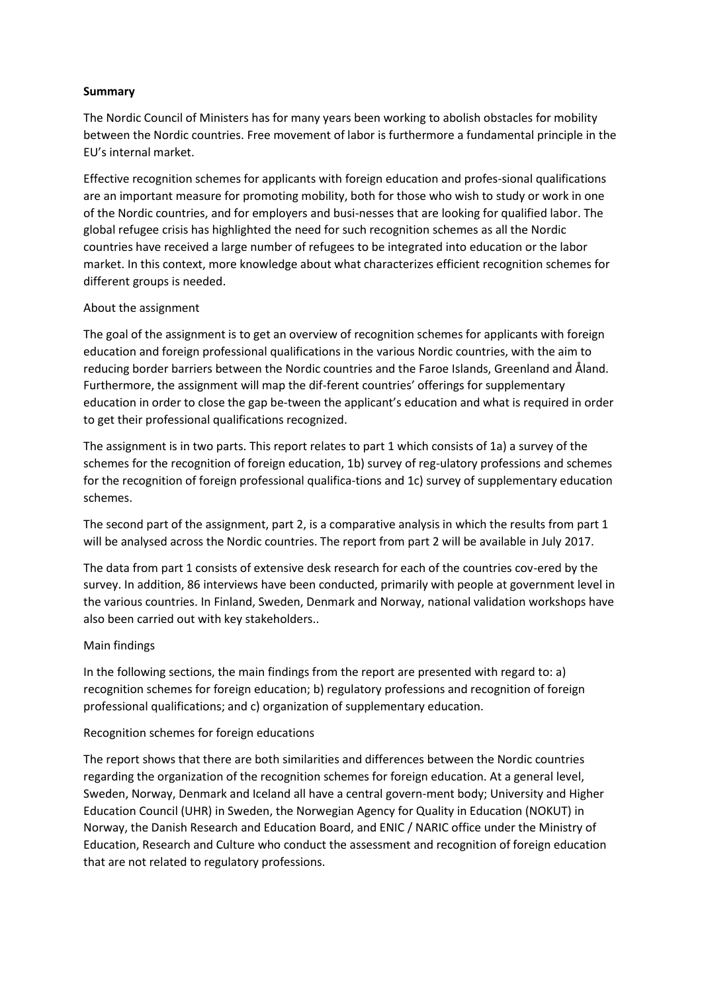## **Summary**

The Nordic Council of Ministers has for many years been working to abolish obstacles for mobility between the Nordic countries. Free movement of labor is furthermore a fundamental principle in the EU's internal market.

Effective recognition schemes for applicants with foreign education and profes-sional qualifications are an important measure for promoting mobility, both for those who wish to study or work in one of the Nordic countries, and for employers and busi-nesses that are looking for qualified labor. The global refugee crisis has highlighted the need for such recognition schemes as all the Nordic countries have received a large number of refugees to be integrated into education or the labor market. In this context, more knowledge about what characterizes efficient recognition schemes for different groups is needed.

### About the assignment

The goal of the assignment is to get an overview of recognition schemes for applicants with foreign education and foreign professional qualifications in the various Nordic countries, with the aim to reducing border barriers between the Nordic countries and the Faroe Islands, Greenland and Åland. Furthermore, the assignment will map the dif-ferent countries' offerings for supplementary education in order to close the gap be-tween the applicant's education and what is required in order to get their professional qualifications recognized.

The assignment is in two parts. This report relates to part 1 which consists of 1a) a survey of the schemes for the recognition of foreign education, 1b) survey of reg-ulatory professions and schemes for the recognition of foreign professional qualifica-tions and 1c) survey of supplementary education schemes.

The second part of the assignment, part 2, is a comparative analysis in which the results from part 1 will be analysed across the Nordic countries. The report from part 2 will be available in July 2017.

The data from part 1 consists of extensive desk research for each of the countries cov-ered by the survey. In addition, 86 interviews have been conducted, primarily with people at government level in the various countries. In Finland, Sweden, Denmark and Norway, national validation workshops have also been carried out with key stakeholders..

# Main findings

In the following sections, the main findings from the report are presented with regard to: a) recognition schemes for foreign education; b) regulatory professions and recognition of foreign professional qualifications; and c) organization of supplementary education.

### Recognition schemes for foreign educations

The report shows that there are both similarities and differences between the Nordic countries regarding the organization of the recognition schemes for foreign education. At a general level, Sweden, Norway, Denmark and Iceland all have a central govern-ment body; University and Higher Education Council (UHR) in Sweden, the Norwegian Agency for Quality in Education (NOKUT) in Norway, the Danish Research and Education Board, and ENIC / NARIC office under the Ministry of Education, Research and Culture who conduct the assessment and recognition of foreign education that are not related to regulatory professions.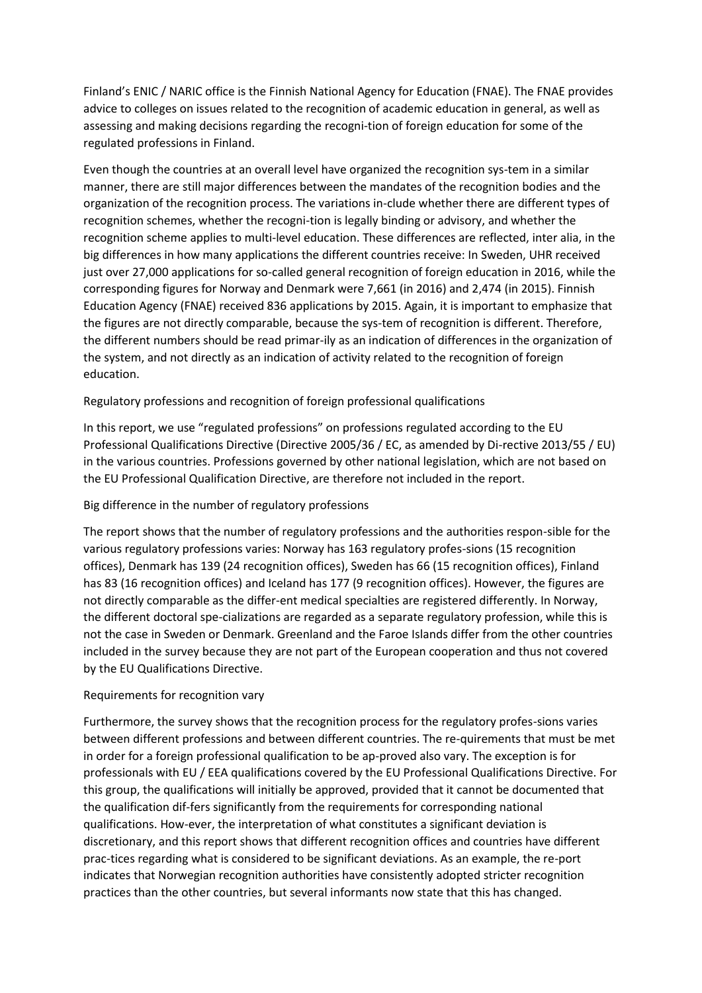Finland's ENIC / NARIC office is the Finnish National Agency for Education (FNAE). The FNAE provides advice to colleges on issues related to the recognition of academic education in general, as well as assessing and making decisions regarding the recogni-tion of foreign education for some of the regulated professions in Finland.

Even though the countries at an overall level have organized the recognition sys-tem in a similar manner, there are still major differences between the mandates of the recognition bodies and the organization of the recognition process. The variations in-clude whether there are different types of recognition schemes, whether the recogni-tion is legally binding or advisory, and whether the recognition scheme applies to multi-level education. These differences are reflected, inter alia, in the big differences in how many applications the different countries receive: In Sweden, UHR received just over 27,000 applications for so-called general recognition of foreign education in 2016, while the corresponding figures for Norway and Denmark were 7,661 (in 2016) and 2,474 (in 2015). Finnish Education Agency (FNAE) received 836 applications by 2015. Again, it is important to emphasize that the figures are not directly comparable, because the sys-tem of recognition is different. Therefore, the different numbers should be read primar-ily as an indication of differences in the organization of the system, and not directly as an indication of activity related to the recognition of foreign education.

## Regulatory professions and recognition of foreign professional qualifications

In this report, we use "regulated professions" on professions regulated according to the EU Professional Qualifications Directive (Directive 2005/36 / EC, as amended by Di-rective 2013/55 / EU) in the various countries. Professions governed by other national legislation, which are not based on the EU Professional Qualification Directive, are therefore not included in the report.

### Big difference in the number of regulatory professions

The report shows that the number of regulatory professions and the authorities respon-sible for the various regulatory professions varies: Norway has 163 regulatory profes-sions (15 recognition offices), Denmark has 139 (24 recognition offices), Sweden has 66 (15 recognition offices), Finland has 83 (16 recognition offices) and Iceland has 177 (9 recognition offices). However, the figures are not directly comparable as the differ-ent medical specialties are registered differently. In Norway, the different doctoral spe-cializations are regarded as a separate regulatory profession, while this is not the case in Sweden or Denmark. Greenland and the Faroe Islands differ from the other countries included in the survey because they are not part of the European cooperation and thus not covered by the EU Qualifications Directive.

### Requirements for recognition vary

Furthermore, the survey shows that the recognition process for the regulatory profes-sions varies between different professions and between different countries. The re-quirements that must be met in order for a foreign professional qualification to be ap-proved also vary. The exception is for professionals with EU / EEA qualifications covered by the EU Professional Qualifications Directive. For this group, the qualifications will initially be approved, provided that it cannot be documented that the qualification dif-fers significantly from the requirements for corresponding national qualifications. How-ever, the interpretation of what constitutes a significant deviation is discretionary, and this report shows that different recognition offices and countries have different prac-tices regarding what is considered to be significant deviations. As an example, the re-port indicates that Norwegian recognition authorities have consistently adopted stricter recognition practices than the other countries, but several informants now state that this has changed.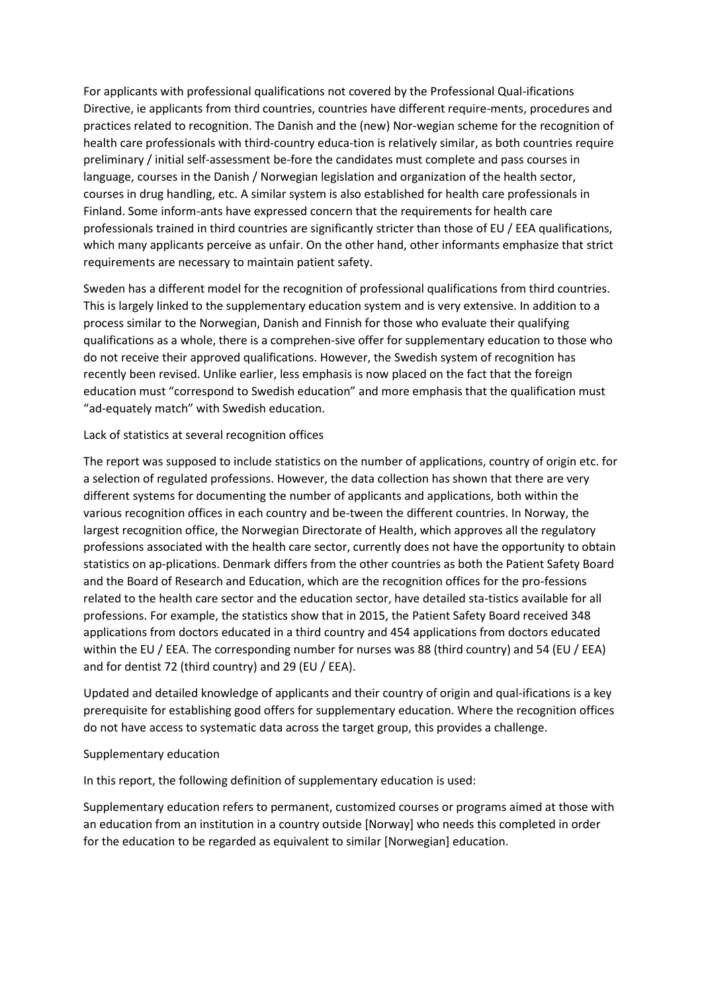For applicants with professional qualifications not covered by the Professional Qual-ifications Directive, ie applicants from third countries, countries have different require-ments, procedures and practices related to recognition. The Danish and the (new) Nor-wegian scheme for the recognition of health care professionals with third-country educa-tion is relatively similar, as both countries require preliminary / initial self-assessment be-fore the candidates must complete and pass courses in language, courses in the Danish / Norwegian legislation and organization of the health sector, courses in drug handling, etc. A similar system is also established for health care professionals in Finland. Some inform-ants have expressed concern that the requirements for health care professionals trained in third countries are significantly stricter than those of EU / EEA qualifications, which many applicants perceive as unfair. On the other hand, other informants emphasize that strict requirements are necessary to maintain patient safety.

Sweden has a different model for the recognition of professional qualifications from third countries. This is largely linked to the supplementary education system and is very extensive. In addition to a process similar to the Norwegian, Danish and Finnish for those who evaluate their qualifying qualifications as a whole, there is a comprehen-sive offer for supplementary education to those who do not receive their approved qualifications. However, the Swedish system of recognition has recently been revised. Unlike earlier, less emphasis is now placed on the fact that the foreign education must "correspond to Swedish education" and more emphasis that the qualification must "ad-equately match" with Swedish education.

## Lack of statistics at several recognition offices

The report was supposed to include statistics on the number of applications, country of origin etc. for a selection of regulated professions. However, the data collection has shown that there are very different systems for documenting the number of applicants and applications, both within the various recognition offices in each country and be-tween the different countries. In Norway, the largest recognition office, the Norwegian Directorate of Health, which approves all the regulatory professions associated with the health care sector, currently does not have the opportunity to obtain statistics on ap-plications. Denmark differs from the other countries as both the Patient Safety Board and the Board of Research and Education, which are the recognition offices for the pro-fessions related to the health care sector and the education sector, have detailed sta-tistics available for all professions. For example, the statistics show that in 2015, the Patient Safety Board received 348 applications from doctors educated in a third country and 454 applications from doctors educated within the EU / EEA. The corresponding number for nurses was 88 (third country) and 54 (EU / EEA) and for dentist 72 (third country) and 29 (EU / EEA).

Updated and detailed knowledge of applicants and their country of origin and qual-ifications is a key prerequisite for establishing good offers for supplementary education. Where the recognition offices do not have access to systematic data across the target group, this provides a challenge.

### Supplementary education

In this report, the following definition of supplementary education is used:

Supplementary education refers to permanent, customized courses or programs aimed at those with an education from an institution in a country outside [Norway] who needs this completed in order for the education to be regarded as equivalent to similar [Norwegian] education.